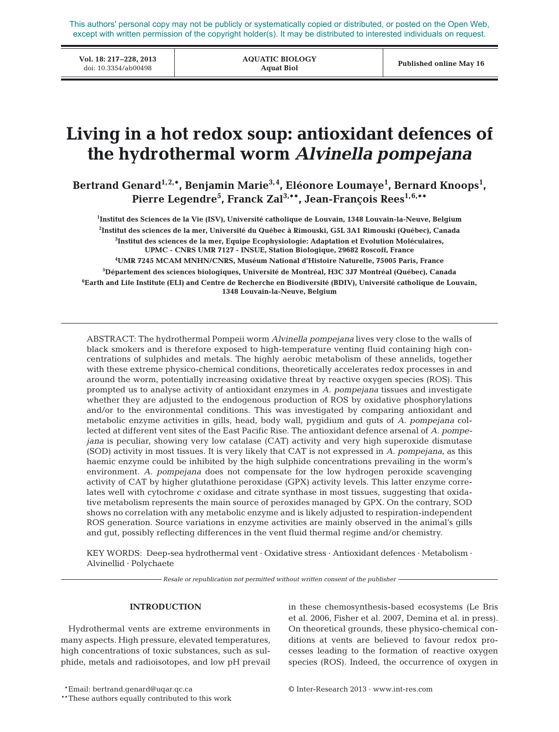This authors' personal copy may not be publicly or systematically copied or distributed, or posted on the Open Web, except with written permission of the copyright holder(s). It may be distributed to interested individuals on request.

**Vol. 18: 217–228, 2013**<br>doi: 10.3354/ab00498

**AQUATIC BIOLOGY Aquat Biol**

Published online May 16

# **Living in a hot redox soup: antioxidant defences of the hydrothermal worm** *Alvinella pompejana*

Bertrand Genard<sup>1,2,\*</sup>, Benjamin Marie<sup>3,4</sup>, Eléonore Loumaye<sup>1</sup>, Bernard Knoops<sup>1</sup>, **Pierre Legendre5 , Franck Zal3,\*\*, Jean-François Rees1,6,\*\***

 **Institut des Sciences de la Vie (ISV), Université catholique de Louvain, 1348 Louvain-la-Neuve, Belgium Institut des sciences de la mer, Université du Québec à Rimouski, G5L 3A1 Rimouski (Québec), Canada Institut des sciences de la mer, Equipe Ecophysiologie: Adaptation et Evolution Moléculaires, UPMC - CNRS UMR 7127 - INSUE, Station Biologique, 29682 Roscoff, France UMR 7245 MCAM MNHN/CNRS, Muséum National d'Histoire Naturelle, 75005 Paris, France Département des sciences biologiques, Université de Montréal, H3C 3J7 Montréal (Québec), Canada**

**6 Earth and Life Institute (ELI) and Centre de Recherche en Biodiversité (BDIV), Université catholique de Louvain, 1348 Louvain-la-Neuve, Belgium**

ABSTRACT: The hydrothermal Pompeii worm *Alvinella pompejana* lives very close to the walls of black smokers and is therefore exposed to high-temperature venting fluid containing high concentrations of sulphides and metals. The highly aerobic metabolism of these annelids, together with these extreme physico-chemical conditions, theoretically accelerates redox processes in and around the worm, potentially increasing oxidative threat by reactive oxygen species (ROS). This prompted us to analyse activity of antioxidant enzymes in *A. pompejana* tissues and investigate whether they are adjusted to the endogenous production of ROS by oxidative phosphorylations and/or to the environmental conditions. This was investigated by comparing antioxidant and metabolic enzyme activities in gills, head, body wall, pygidium and guts of *A. pompejana* collected at different vent sites of the East Pacific Rise. The antioxidant defence arsenal of *A. pompejana* is peculiar, showing very low catalase (CAT) activity and very high superoxide dismutase (SOD) activity in most tissues. It is very likely that CAT is not expressed in *A. pompejana*, as this haemic enzyme could be inhibited by the high sulphide concentrations prevailing in the worm's environment. *A. pompejana* does not compensate for the low hydrogen peroxide scavenging activity of CAT by higher glutathione peroxidase (GPX) activity levels. This latter enzyme correlates well with cytochrome *c* oxidase and citrate synthase in most tissues, suggesting that oxidative metabolism represents the main source of peroxides managed by GPX. On the contrary, SOD shows no correlation with any metabolic enzyme and is likely adjusted to respiration- independent ROS generation. Source variations in enzyme activities are mainly observed in the animal's gills and gut, possibly reflecting differences in the vent fluid thermal regime and/or chemistry.

KEY WORDS: Deep-sea hydrothermal vent · Oxidative stress · Antioxidant defences · Metabolism · Alvinellid · Polychaete

*Resale or republication not permitted without written consent of the publisher*

# **INTRODUCTION**

Hydrothermal vents are extreme environments in many aspects. High pressure, elevated temperatures, high concentrations of toxic substances, such as sulphide, metals and radioisotopes, and low pH prevail in these chemosynthesis-based ecosystems (Le Bris et al. 2006, Fisher et al. 2007, Demina et al. in press). On theoretical grounds, these physico- chemical conditions at vents are believed to favour redox processes leading to the formation of reactive oxygen species (ROS). Indeed, the occurrence of oxygen in

\*\*These authors equally contributed to this work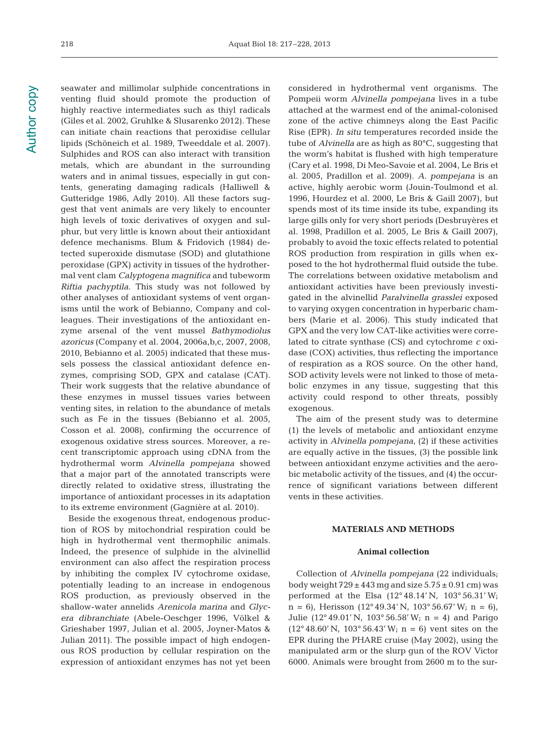218

seawater and millimolar sulphide concentrations in venting fluid should promote the production of highly reactive intermediates such as thiyl radicals (Giles et al. 2002, Gruhlke & Slusarenko 2012). These can initiate chain reactions that peroxidise cellular lipids (Schöneich et al. 1989, Tweeddale et al. 2007). Sulphides and ROS can also interact with transition metals, which are abundant in the surrounding waters and in animal tissues, especially in gut contents, generating damaging radicals (Halliwell & Gutteridge 1986, Adly 2010). All these factors suggest that vent animals are very likely to encounter high levels of toxic derivatives of oxygen and sulphur, but very little is known about their antioxidant defence mechanisms. Blum & Fridovich (1984) de tected superoxide dismutase (SOD) and glutathione peroxidase (GPX) activity in tissues of the hydrothermal vent clam *Calyptogena magnifica* and tubeworm *Riftia pachyptila*. This study was not followed by other analyses of antioxidant systems of vent organisms until the work of Bebianno, Company and colleagues. Their investigations of the antioxidant enzyme arsenal of the vent mussel *Bathymodiolus azoricus* (Company et al. 2004, 2006a,b,c, 2007, 2008, 2010, Bebianno et al. 2005) indicated that these mussels possess the classical antioxidant defence enzymes, comprising SOD, GPX and catalase (CAT). Their work suggests that the relative abundance of these enzymes in mussel tissues varies between venting sites, in relation to the abundance of metals such as Fe in the tissues (Bebianno et al. 2005, Cosson et al. 2008), confirming the occurrence of exogenous oxidative stress sources. Moreover, a recent transcriptomic approach using cDNA from the hydro thermal worm *Alvinella pompejana* showed that a major part of the annotated transcripts were directly related to oxidative stress, illustrating the importance of antioxidant processes in its adaptation to its extreme environment (Gagnière at al. 2010).

Beside the exogenous threat, endogenous production of ROS by mitochondrial respiration could be high in hydrothermal vent thermophilic animals. Indeed, the presence of sulphide in the alvinellid environment can also affect the respiration process by inhibiting the complex IV cytochrome oxidase, po tentially leading to an increase in endogenous ROS production, as previously observed in the shallow- water annelids *Arenicola marina* and *Glycera dibranchiate* (Abele-Oeschger 1996, Völkel & Gries haber 1997, Julian et al. 2005, Joyner-Matos & Julian 2011). The possible impact of high endogenous ROS production by cellular respiration on the expression of antioxidant enzymes has not yet been

considered in hydrothermal vent organisms. The Pompeii worm *Alvinella pompejana* lives in a tube attached at the warmest end of the animal-colonised zone of the active chimneys along the East Pacific Rise (EPR). *In situ* temperatures recorded inside the tube of *Alvinella* are as high as 80°C, suggesting that the worm's habitat is flushed with high temperature (Cary et al. 1998, Di Meo-Savoie et al. 2004, Le Bris et al. 2005, Pradillon et al. 2009). *A. pompejana* is an active, highly aerobic worm (Jouin-Toulmond et al. 1996, Hourdez et al. 2000, Le Bris & Gaill 2007), but spends most of its time inside its tube, expanding its large gills only for very short periods (Desbruyères et al. 1998, Pradillon et al. 2005, Le Bris & Gaill 2007), probably to avoid the toxic effects related to potential ROS production from respiration in gills when exposed to the hot hydrothermal fluid outside the tube. The correlations between oxidative metabolism and antioxidant activities have been previously investigated in the alvinellid *Paralvinella grasslei* exposed to varying oxygen concentration in hyperbaric chambers (Marie et al. 2006). This study indicated that GPX and the very low CAT-like activities were correlated to citrate synthase (CS) and cytochrome *c* oxidase (COX) activities, thus reflecting the importance of respiration as a ROS source. On the other hand, SOD activity levels were not linked to those of metabolic enzymes in any tissue, suggesting that this activity could respond to other threats, possibly exogenous.

The aim of the present study was to determine (1) the levels of metabolic and antioxidant enzyme activity in *Alvinella pompejana*, (2) if these activities are equally active in the tissues, (3) the possible link between antioxidant enzyme activities and the aerobic metabolic activity of the tissues, and (4) the occurrence of significant variations between different vents in these activities.

# **MATERIALS AND METHODS**

#### **Animal collection**

Collection of *Alvinella pompejana* (22 individuals; body weight  $729 \pm 443$  mg and size  $5.75 \pm 0.91$  cm) was performed at the Elsa (12° 48.14' N, 103° 56.31' W;  $n = 6$ , Herisson (12° 49.34' N, 103° 56.67' W; n = 6), Julie (12° 49.01' N, 103° 56.58' W; n = 4) and Parigo  $(12^{\circ}48.60' \text{ N}, 103^{\circ}56.43' \text{ W}; \text{ n = 6})$  vent sites on the EPR during the PHARE cruise (May 2002), using the manipulated arm or the slurp gun of the ROV Victor 6000. Animals were brought from 2600 m to the sur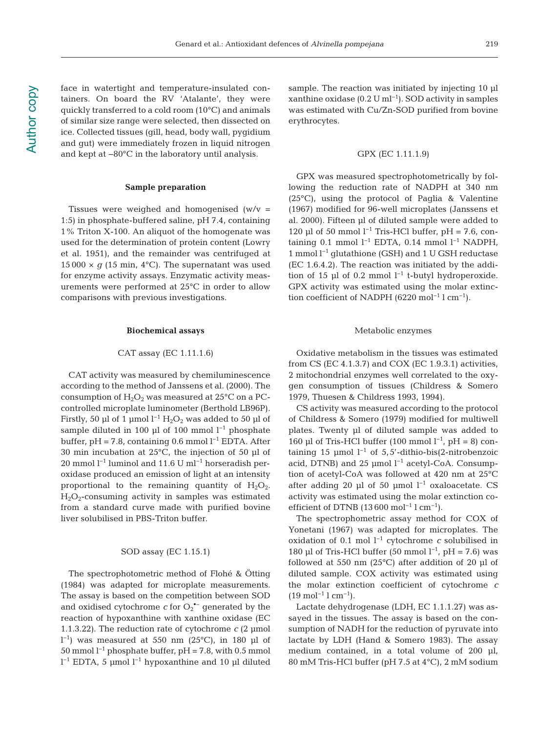face in watertight and temperature-insulated containers. On board the RV 'Atalante', they were quickly transferred to a cold room (10°C) and animals of similar size range were selected, then dissected on ice. Collected tissues (gill, head, body wall, pygidium and gut) were immediately frozen in liquid nitrogen and kept at −80°C in the laboratory until analysis.

#### **Sample preparation**

Tissues were weighed and homogenised  $(w/v =$ 1:5) in phosphate-buffered saline, pH 7.4, containing 1% Triton X-100. An aliquot of the homogenate was used for the determination of protein content (Lowry et al. 1951), and the remainder was centrifuged at 15 000  $\times$  *q* (15 min, 4 °C). The supernatant was used for enzyme activity assays. Enzymatic activity measurements were performed at 25°C in order to allow comparisons with previous investigations.

## **Biochemical assays**

# CAT assay (EC 1.11.1.6)

CAT activity was measured by chemiluminescence according to the method of Janssens et al. (2000). The consumption of  $H_2O_2$  was measured at 25 $\rm ^{\circ}C$  on a PCcontrolled microplate luminometer (Berthold LB96P). Firstly, 50 µl of 1 µmol  $l^{-1}$  H<sub>2</sub>O<sub>2</sub> was added to 50 µl of sample diluted in 100 µl of 100 mmol  $l^{-1}$  phosphate buffer, pH = 7.8, containing 0.6 mmol l−1 EDTA. After 30 min incubation at 25°C, the injection of 50 µl of 20 mmol l<sup>−1</sup> luminol and 11.6 U ml<sup>−1</sup> horseradish peroxidase produced an emission of light at an intensity proportional to the remaining quantity of  $H_2O_2$ .  $H_2O_2$ -consuming activity in samples was estimated from a standard curve made with purified bovine liver solubilised in PBS-Triton buffer.

#### SOD assay (EC 1.15.1)

The spectrophotometric method of Flohé & Ötting (1984) was adapted for microplate measurements. The assay is based on the competition between SOD and oxidised cytochrome  $c$  for  $O_2$ <sup>\*-</sup> generated by the reaction of hypoxanthine with xanthine oxidase (EC 1.1.3.22). The reduction rate of cytochrome  $c$  (2  $\mu$ mol  $1^{-1}$ ) was measured at 550 nm (25°C), in 180 µl of 50 mmol  $l^{-1}$  phosphate buffer, pH = 7.8, with 0.5 mmol l<sup>-1</sup> EDTA, 5 µmol l<sup>-1</sup> hypoxanthine and 10 µl diluted

sample. The reaction was initiated by injecting 10 µl xanthine oxidase  $(0.2 \text{ U ml}^{-1})$ . SOD activity in samples was estimated with Cu/Zn-SOD purified from bovine erythrocytes.

## GPX (EC 1.11.1.9)

GPX was measured spectrophotometrically by following the reduction rate of NADPH at 340 nm (25°C), using the protocol of Paglia & Valentine (1967) modified for 96-well microplates (Janssens et al. 2000). Fifteen µl of diluted sample were added to 120 µl of 50 mmol  $l^{-1}$  Tris-HCl buffer, pH = 7.6, containing 0.1 mmol l−1 EDTA, 0.14 mmol l−1 NADPH, 1 mmol l−1 glutathione (GSH) and 1 U GSH reductase (EC 1.6.4.2). The reaction was initiated by the addition of 15 µl of 0.2 mmol l−1 t-butyl hydroperoxide. GPX activity was estimated using the molar extinction coefficient of NADPH (6220 mol<sup>-1</sup> l cm<sup>-1</sup>).

# Metabolic enzymes

Oxidative metabolism in the tissues was estimated from CS (EC 4.1.3.7) and COX (EC 1.9.3.1) activities, 2 mitochondrial enzymes well correlated to the oxygen consumption of tissues (Childress & Somero 1979, Thuesen & Childress 1993, 1994).

CS activity was measured according to the protocol of Childress & Somero (1979) modified for multiwell plates. Twenty µl of diluted sample was added to 160 μl of Tris-HCl buffer (100 mmol l<sup>-1</sup>, pH = 8) containing 15 µmol  $l^{-1}$  of 5,5'-dithio-bis(2-nitrobenzoic acid, DTNB) and 25 µmol  $l^{-1}$  acetyl-CoA. Consumption of acetyl-CoA was followed at 420 nm at 25°C after adding 20 µl of 50 µmol l−1 oxaloacetate. CS activity was estimated using the molar extinction coefficient of DTNB (13 600 mol<sup>-1</sup> l cm<sup>-1</sup>).

The spectrophometric assay method for COX of Yonetani (1967) was adapted for microplates. The oxi dation of 0.1 mol l−1 cytochrome *c* solubilised in 180 µl of Tris-HCl buffer (50 mmol  $l^{-1}$ , pH = 7.6) was followed at 550 nm  $(25^{\circ}C)$  after addition of 20 µl of diluted sample. COX activity was estimated using the molar extinction coefficient of cytochrome *c*  $(19 \text{ mol}^{-1} \text{ l cm}^{-1}).$ 

Lactate dehydrogenase (LDH, EC 1.1.1.27) was as sayed in the tissues. The assay is based on the consumption of NADH for the reduction of pyruvate into lactate by LDH (Hand & Somero 1983). The assay medium contained, in a total volume of 200 µl, 80 mM Tris-HCl buffer (pH 7.5 at 4°C), 2 mM sodium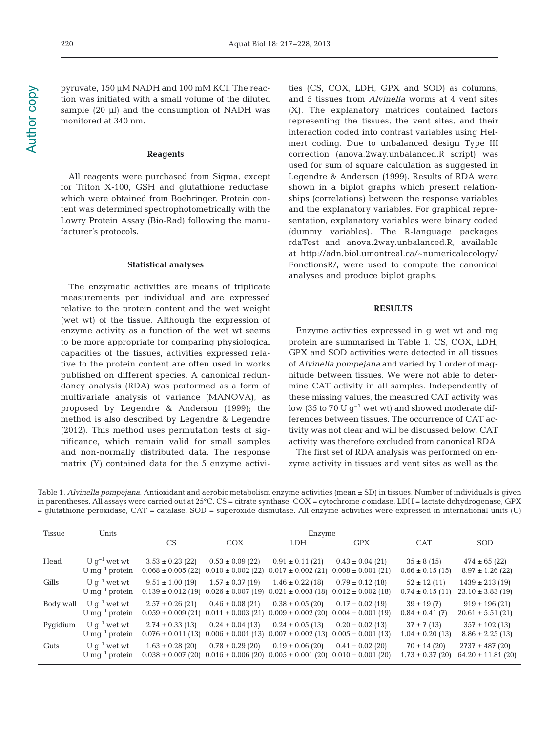**Author copy** Author copy pyruvate, 150 µM NADH and 100 mM KCl. The reaction was initiated with a small volume of the diluted sample (20 µl) and the consumption of NADH was monitored at 340 nm.

#### **Reagents**

All reagents were purchased from Sigma, except for Triton X-100, GSH and glutathione reductase, which were obtained from Boehringer. Protein content was determined spectrophotometrically with the Lowry Protein Assay (Bio-Rad) following the manufacturer's protocols.

# **Statistical analyses**

The enzymatic activities are means of triplicate measurements per individual and are expressed relative to the protein content and the wet weight (wet wt) of the tissue. Although the expression of enzyme activity as a function of the wet wt seems to be more appropriate for comparing physiological capacities of the tissues, activities expressed relative to the protein content are often used in works published on different species. A canonical redundancy analysis (RDA) was performed as a form of multivariate analysis of variance (MANOVA), as proposed by Legendre & Anderson (1999); the method is also described by Legendre & Legendre (2012). This method uses permutation tests of significance, which remain valid for small samples and non-normally distributed data. The response matrix (Y) contained data for the 5 enzyme activi-

ties (CS, COX, LDH, GPX and SOD) as columns, and 5 tissues from *Alvinella* worms at 4 vent sites (X). The explanatory matrices contained factors representing the tissues, the vent sites, and their interaction coded into contrast variables using Helmert coding. Due to unbalanced design Type III correction (anova.2way.unbalanced.R script) was used for sum of square calculation as suggested in Legendre & Anderson (1999). Results of RDA were shown in a biplot graphs which present relationships (correlations) between the response variables and the explanatory variables. For graphical representation, explanatory variables were binary coded (dummy variables). The R-language packages rdaTest and anova.2way.unbalanced.R, available at http://adn. biol. umontreal. ca / ~ numericalecology/ FonctionsR/, were used to compute the canonical analyses and produce biplot graphs.

# **RESULTS**

Enzyme activities expressed in g wet wt and mg protein are summarised in Table 1. CS, COX, LDH, GPX and SOD activities were detected in all tissues of *Alvinella pompejana* and varied by 1 order of magnitude between tissues. We were not able to determine CAT activity in all samples. Independently of these missing values, the measured CAT activity was low (35 to 70 U  $g^{-1}$  wet wt) and showed moderate differences between tissues. The occurrence of CAT activity was not clear and will be discussed below. CAT activity was therefore excluded from canonical RDA.

The first set of RDA analysis was performed on enzyme activity in tissues and vent sites as well as the

| Table 1. Alvinella pompejana. Antioxidant and aerobic metabolism enzyme activities (mean ± SD) in tissues. Number of individuals is given          |
|----------------------------------------------------------------------------------------------------------------------------------------------------|
| in parentheses. All assays were carried out at $25^{\circ}$ C. CS = citrate synthase, COX = cytochrome c oxidase, LDH = lactate dehydrogenase, GPX |
| $=$ qlutathione peroxidase, CAT = catalase, SOD = superoxide dismutase. All enzyme activities were expressed in international units (U)            |

| Tissue    | Units                                               | Enzyme -                                       |                                                |                                                                       |                                                |                                          |                                               |
|-----------|-----------------------------------------------------|------------------------------------------------|------------------------------------------------|-----------------------------------------------------------------------|------------------------------------------------|------------------------------------------|-----------------------------------------------|
|           |                                                     | <b>CS</b>                                      | <b>COX</b>                                     | LDH                                                                   | <b>GPX</b>                                     | <b>CAT</b>                               | SOD                                           |
| Head      | U $q^{-1}$ wet wt<br>U mg <sup>-1</sup> protein     | $3.53 \pm 0.23$ (22)<br>$0.068 \pm 0.005$ (22) | $0.53 \pm 0.09$ (22)<br>$0.010 \pm 0.002$ (22) | $0.91 \pm 0.11$ (21)<br>$0.017 \pm 0.002$ (21)                        | $0.43 \pm 0.04$ (21)<br>$0.008 \pm 0.001$ (21) | $35 \pm 8(15)$<br>$0.66 \pm 0.15$ (15)   | $474 \pm 65$ (22)<br>$8.97 \pm 1.26$ (22)     |
| Gills     | U $q^{-1}$ wet wt<br>U mq <sup>-1</sup> protein     | $9.51 \pm 1.00$ (19)<br>$0.139 \pm 0.012$ (19) | $1.57 \pm 0.37$ (19)<br>$0.026 \pm 0.007$ (19) | $1.46 \pm 0.22$ (18)<br>$0.021 \pm 0.003$ (18)                        | $0.79 \pm 0.12$ (18)<br>$0.012 \pm 0.002$ (18) | $52 \pm 12$ (11)<br>$0.74 \pm 0.15$ (11) | $1439 \pm 213$ (19)<br>$23.10 \pm 3.83$ (19)  |
| Body wall | U $q^{-1}$ wet wt<br>U mq <sup>-1</sup> protein     | $2.57 \pm 0.26$ (21)<br>$0.059 \pm 0.009$ (21) | $0.46 \pm 0.08$ (21)                           | $0.38 \pm 0.05$ (20)<br>$0.011 \pm 0.003$ (21) $0.009 \pm 0.002$ (20) | $0.17 \pm 0.02$ (19)<br>$0.004 \pm 0.001$ (19) | $39 \pm 19(7)$<br>$0.84 \pm 0.41$ (7)    | $919 \pm 196$ (21)<br>$20.61 \pm 5.51$ (21)   |
| Pygidium  | U $q^{-1}$ wet wt<br>$U$ mg <sup>-1</sup> protein   | $2.74 \pm 0.33$ (13)<br>$0.076 \pm 0.011$ (13) | $0.24 \pm 0.04$ (13)                           | $0.24 \pm 0.05$ (13)<br>$0.006 \pm 0.001$ (13) $0.007 \pm 0.002$ (13) | $0.20 \pm 0.02$ (13)<br>$0.005 \pm 0.001$ (13) | $37 \pm 7(13)$<br>$1.04 \pm 0.20$ (13)   | $357 \pm 102$ (13)<br>$8.86 \pm 2.25$ (13)    |
| Guts      | U $q^{-1}$ wet wt<br>$U \,\mathrm{mq}^{-1}$ protein | $1.63 \pm 0.28$ (20)<br>$0.038 \pm 0.007$ (20) | $0.78 \pm 0.29$ (20)                           | $0.19 \pm 0.06$ (20)<br>$0.016 \pm 0.006$ (20) $0.005 \pm 0.001$ (20) | $0.41 \pm 0.02$ (20)<br>$0.010 \pm 0.001$ (20) | $70 \pm 14$ (20)<br>$1.73 \pm 0.37$ (20) | $2737 \pm 487$ (20)<br>$64.20 \pm 11.81$ (20) |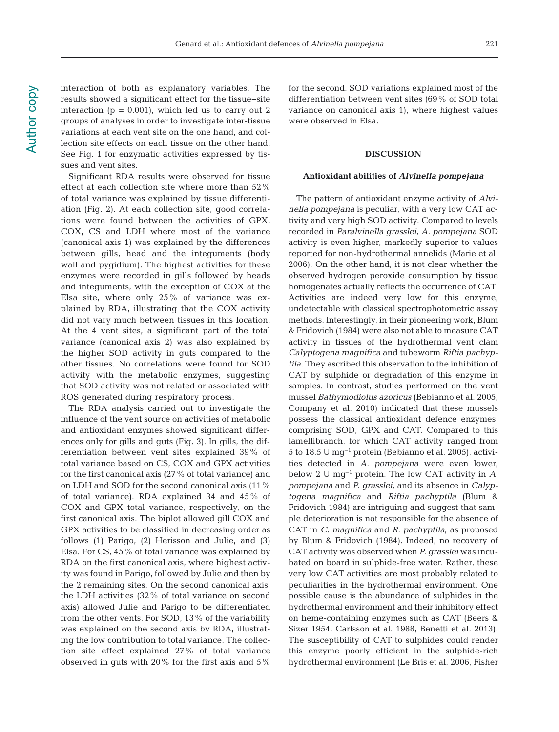interaction of both as explanatory variables. The results showed a significant effect for the tissue− site interaction ( $p = 0.001$ ), which led us to carry out 2 groups of analyses in order to investigate inter-tissue variations at each vent site on the one hand, and collection site effects on each tissue on the other hand. See Fig. 1 for enzymatic activities expressed by tissues and vent sites.

Significant RDA results were observed for tissue effect at each collection site where more than 52% of total variance was explained by tissue differentiation (Fig. 2). At each collection site, good correlations were found between the activities of GPX, COX, CS and LDH where most of the variance (canonical axis 1) was explained by the differences be tween gills, head and the integuments (body wall and pygidium). The highest activities for these enzymes were recorded in gills followed by heads and integuments, with the exception of COX at the Elsa site, where only  $25\%$  of variance was explained by RDA, illustrating that the COX activity did not vary much between tissues in this location. At the 4 vent sites, a significant part of the total variance (canonical axis 2) was also explained by the higher SOD activity in guts compared to the other tissues. No correlations were found for SOD activity with the metabolic enzymes, suggesting that SOD activity was not related or associated with ROS generated during respiratory process.

The RDA analysis carried out to investigate the influence of the vent source on activities of metabolic and antioxidant enzymes showed significant differences only for gills and guts (Fig. 3). In gills, the differentiation between vent sites explained 39% of total variance based on CS, COX and GPX activities for the first canonical axis (27% of total variance) and on LDH and SOD for the second canonical axis (11% of total variance). RDA explained 34 and 45% of COX and GPX total variance, respectively, on the first canonical axis. The biplot allowed gill COX and GPX activities to be classified in decreasing order as follows (1) Parigo, (2) Herisson and Julie, and (3) Elsa. For CS, 45% of total variance was explained by RDA on the first canonical axis, where highest activity was found in Parigo, followed by Julie and then by the 2 remaining sites. On the second canonical axis, the LDH activities (32% of total variance on second axis) allowed Julie and Parigo to be differentiated from the other vents. For SOD, 13% of the variability was explained on the second axis by RDA, illustrating the low contribution to total variance. The collection site effect explained 27% of total variance observed in guts with 20% for the first axis and 5%

for the second. SOD variations explained most of the differentiation between vent sites (69% of SOD total variance on canonical axis 1), where highest values were observed in Elsa.

# **DISCUSSION**

#### **Antioxidant abilities of** *Alvinella pompejana*

The pattern of antioxidant enzyme activity of *Alvi nella pompejana* is peculiar, with a very low CAT activity and very high SOD activity. Compared to levels re corded in *Paralvinella grasslei*, *A. pompejana* SOD activity is even higher, markedly superior to values reported for non-hydrothermal annelids (Marie et al. 2006). On the other hand, it is not clear whether the observed hydrogen peroxide consumption by tissue homogenates actually reflects the occurrence of CAT. Activities are indeed very low for this enzyme, undetectable with classical spectrophotometric assay me thods. Interestingly, in their pioneering work, Blum & Fridovich (1984) were also not able to measure CAT activity in tissues of the hydrothermal vent clam *Calyptogena magnifica* and tubeworm *Riftia pachyptila*. They ascribed this observation to the inhibition of CAT by sulphide or degradation of this enzyme in samples. In contrast, studies performed on the vent mussel *Bathymodiolus azoricus* (Bebianno et al. 2005, Company et al. 2010) indicated that these mussels possess the classical antioxidant defence enzymes, comprising SOD, GPX and CAT. Compared to this lamellibranch, for which CAT activity ranged from 5 to 18.5 U mg−1 protein (Bebianno et al. 2005), activities detected in *A. pompejana* were even lower, below 2 U mg−1 protein. The low CAT activity in *A. pompejana* and *P. grasslei*, and its absence in *Calyp to gena magnifica* and *Riftia pachyptila* (Blum & Fridovich 1984) are intriguing and suggest that sample deterioration is not responsible for the absence of CAT in *C. magnifica* and *R. pachyptila*, as proposed by Blum & Fridovich (1984). Indeed, no recovery of CAT activity was observed when *P. grasslei* was incubated on board in sulphide-free water. Rather, these very low CAT activities are most probably related to peculiarities in the hydrothermal environment. One possible cause is the abundance of sulphides in the hydrothermal environment and their inhibitory effect on heme-containing enzymes such as CAT (Beers & Sizer 1954, Carlsson et al. 1988, Benetti et al. 2013). The susceptibility of CAT to sulphides could render this enzyme poorly efficient in the sulphide-rich hydrothermal environment (Le Bris et al. 2006, Fisher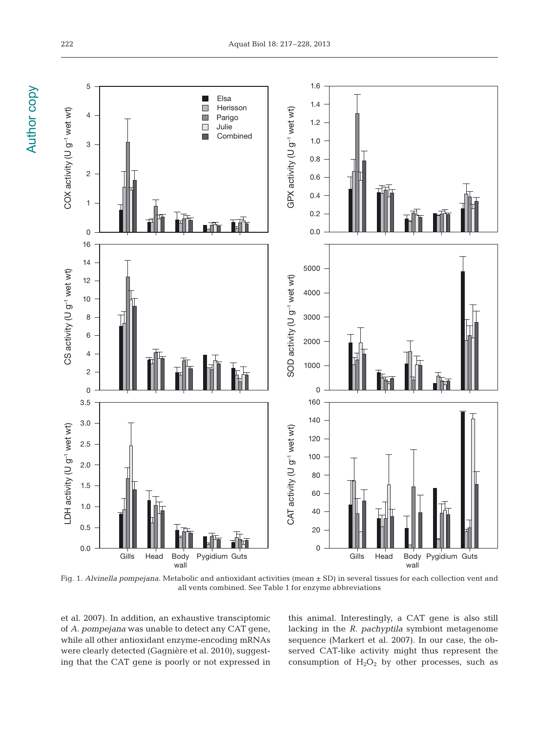Author copy Author copy



Fig. 1. *Alvinella pompejana*. Metabolic and antioxidant activities (mean ± SD) in several tissues for each collection vent and all vents combined. See Table 1 for enzyme abbreviations

et al. 2007). In addition, an exhaustive transciptomic of *A. pompejana* was unable to detect any CAT gene, while all other antioxidant enzyme-encoding mRNAs were clearly detected (Gagnière et al. 2010), suggesting that the CAT gene is poorly or not expressed in this animal. Interestingly, a CAT gene is also still lacking in the *R. pachyptila* symbiont metagenome sequence (Markert et al. 2007). In our case, the observed CAT-like activity might thus represent the consumption of  $H_2O_2$  by other processes, such as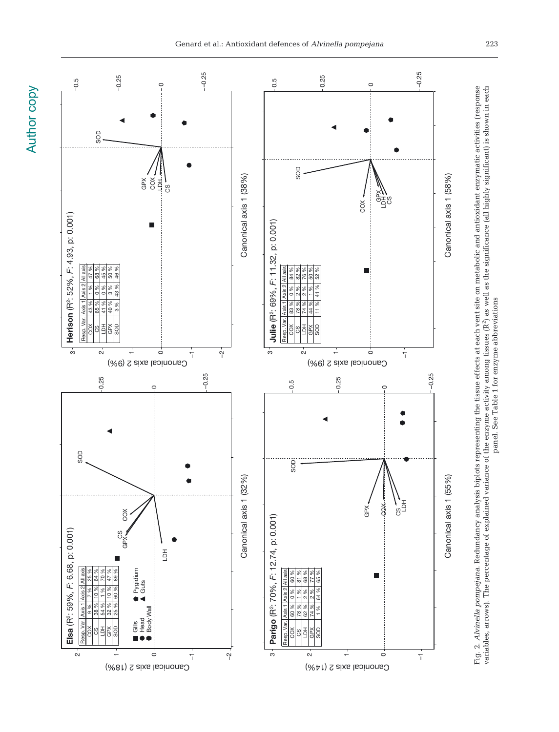



panel. See Table 1 for enzyme abbreviations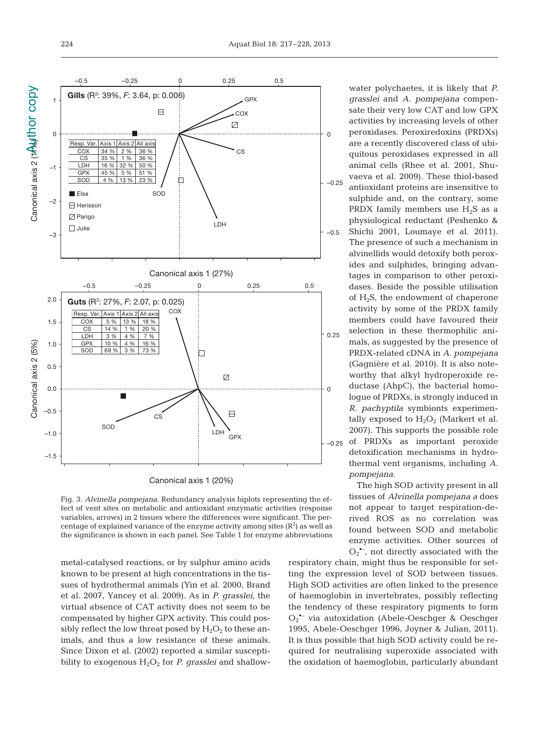

Canonical axis 1 (20%)

Fig. 3. *Alvinella pompejana*. Redundancy analysis biplots representing the effect of vent sites on metabolic and antioxidant enzymatic activities (response variables, arrows) in 2 tissues where the differences were significant. The percentage of explained variance of the enzyme activity among sites  $(R^2)$  as well as the significance is shown in each panel. See Table 1 for enzyme abbreviations

metal-catalysed reactions, or by sulphur amino acids known to be present at high concentrations in the tissues of hydrothermal animals (Yin et al. 2000, Brand et al. 2007, Yancey et al. 2009). As in *P. grasslei*, the virtual absence of CAT activity does not seem to be compensated by higher GPX activity. This could possibly reflect the low threat posed by  $H_2O_2$  to these animals, and thus a low resistance of these animals. Since Dixon et al. (2002) reported a similar susceptibility to exogenous  $H_2O_2$  for *P. grasslei* and shallow-

water polychaetes, it is likely that *P*. *grasslei* and *A. pompejana* compensate their very low CAT and low GPX activities by increasing levels of other peroxidases. Peroxiredoxins (PRDXs) are a recently discovered class of ubi quitous peroxidases expressed in all animal cells (Rhee et al. 2001, Shuvaeva et al. 2009). These thiol-based antioxidant proteins are insensitive to sulphide and, on the contrary, some PRDX family members use  $H_2S$  as a physiological reductant (Peshenko & Shichi 2001, Loumaye et al. 2011). The presence of such a mechanism in alvinellids would detoxify both peroxides and sulphides, bringing advantages in comparison to other peroxidases. Beside the possible utilisation of  $H_2S$ , the endowment of chaperone activity by some of the PRDX family members could have favoured their selection in these thermophilic animals, as suggested by the presence of PRDX-related cDNA in *A. pompejana* (Gagnière et al. 2010). It is also noteworthy that alkyl hydroperoxide reductase (AhpC), the bacterial homologue of PRDXs, is strongly induced in *R. pachyptila* symbionts experimentally exposed to  $H_2O_2$  (Markert et al. 2007). This supports the possible role of PRDXs as important peroxide detoxification mechanisms in hydrothermal vent organisms, including *A. pompejana*.

The high SOD activity present in all tissues of *Alvinella pompejana a* does not appear to target respiration-de rived ROS as no correlation was found between SOD and metabolic enzyme activities. Other sources of  $O_2$ <sup>\*-</sup>, not directly associated with the

respiratory chain, might thus be responsible for setting the expression level of SOD between tissues. High SOD activities are often linked to the presence of haemoglobin in invertebrates, possibly reflecting the tendency of these respiratory pigments to form O<sub>2</sub><sup>•</sup> via autoxidation (Abele-Oeschger & Oeschger 1995, Abele-Oeschger 1996, Joyner & Julian, 2011). It is thus possible that high SOD activity could be re quired for neutralising superoxide associated with the oxidation of haemoglobin, particularly abundant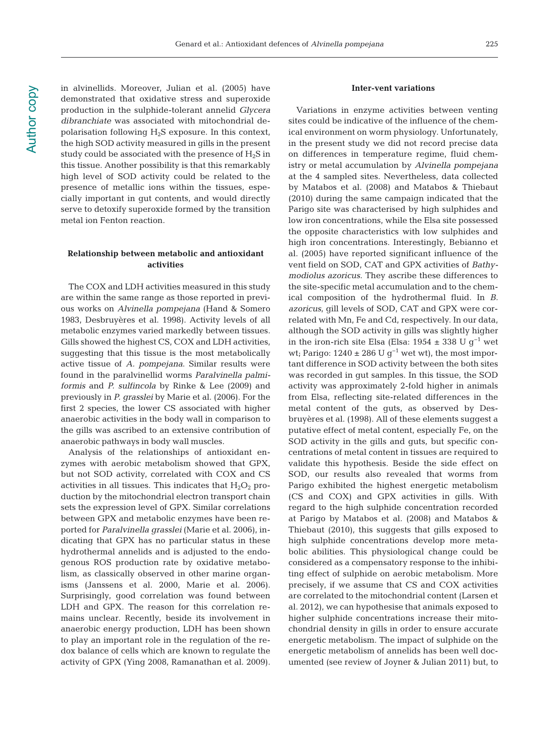in alvinellids. Moreover, Julian et al. (2005) have demonstrated that oxidative stress and superoxide production in the sulphide-tolerant annelid *Glycera* dibranchiate was associated with mitochondrial depolarisation following  $H_2S$  exposure. In this context, the high SOD activity measured in gills in the present study could be associated with the presence of  $H_2S$  in this tissue. Another possibility is that this remarkably high level of SOD activity could be related to the presence of metallic ions within the tissues, especially important in gut contents, and would directly serve to detoxify superoxide formed by the transition metal ion Fenton reaction.

# **Relationship between metabolic and antioxidant activities**

The COX and LDH activities measured in this study are within the same range as those reported in previous works on *Alvinella pompejana* (Hand & Somero 1983, Desbruyères et al. 1998). Activity levels of all metabolic enzymes varied markedly between tissues. Gills showed the highest CS, COX and LDH activities, suggesting that this tissue is the most metabolically active tissue of *A. pompejana*. Similar results were found in the paralvinellid worms *Paralvinella palmi formis* and *P. sulfincola* by Rinke & Lee (2009) and previously in *P. grasslei* by Marie et al. (2006). For the first 2 species, the lower CS associated with higher anaerobic activities in the body wall in comparison to the gills was ascribed to an extensive contribution of anaerobic pathways in body wall muscles.

Analysis of the relationships of antioxidant enzymes with aerobic metabolism showed that GPX, but not SOD activity, correlated with COX and CS activities in all tissues. This indicates that  $H_2O_2$  production by the mitochondrial electron transport chain sets the expression level of GPX. Similar correlations between GPX and metabolic enzymes have been re ported for *Paralvinella grasslei* (Marie et al. 2006), indicating that GPX has no particular status in these hydrothermal annelids and is adjusted to the endogenous ROS production rate by oxidative metabolism, as classically observed in other marine organisms (Janssens et al. 2000, Marie et al. 2006). Surprisingly, good correlation was found between LDH and GPX. The reason for this correlation remains unclear. Recently, beside its involvement in anaerobic energy production, LDH has been shown to play an important role in the regulation of the redox balance of cells which are known to regulate the activity of GPX (Ying 2008, Ramanathan et al. 2009).

# **Inter-vent variations**

Variations in enzyme activities between venting sites could be indicative of the influence of the chemical environment on worm physiology. Unfortunately, in the present study we did not record precise data on differences in temperature regime, fluid chemistry or metal accumulation by *Alvinella pompejana* at the 4 sampled sites. Nevertheless, data collected by Matabos et al. (2008) and Matabos & Thiebaut (2010) during the same campaign indicated that the Parigo site was characterised by high sulphides and low iron concentrations, while the Elsa site possessed the opposite characteristics with low sulphides and high iron concentrations. Interestingly, Bebianno et al. (2005) have reported significant influence of the vent field on SOD, CAT and GPX activities of *Bathymodiolus azoricus*. They ascribe these differences to the site-specific metal accumulation and to the chemical composition of the hydrothermal fluid. In *B. azoricus*, gill levels of SOD, CAT and GPX were correlated with Mn, Fe and Cd, respectively. In our data, although the SOD activity in gills was slightly higher in the iron-rich site Elsa (Elsa: 1954 ± 338 U $q^{-1}$  wet wt; Parigo:  $1240 \pm 286$  U g<sup>-1</sup> wet wt), the most important difference in SOD activity between the both sites was recorded in gut samples. In this tissue, the SOD activity was approximately 2-fold higher in animals from Elsa, reflecting site-related differences in the metal content of the guts, as observed by Desbruyères et al. (1998). All of these elements suggest a putative effect of metal content, especially Fe, on the SOD activity in the gills and guts, but specific concentrations of metal content in tissues are required to validate this hypothesis. Beside the side effect on SOD, our results also revealed that worms from Parigo exhibited the highest energetic metabolism (CS and COX) and GPX activities in gills. With regard to the high sulphide concentration recorded at Parigo by Matabos et al. (2008) and Matabos & Thiebaut (2010), this suggests that gills exposed to high sulphide concentrations develop more metabolic abilities. This physiological change could be considered as a compensatory response to the inhibiting effect of sulphide on aerobic metabolism. More precisely, if we assume that CS and COX activities are correlated to the mitochondrial content (Larsen et al. 2012), we can hypothesise that animals ex posed to higher sulphide concentrations increase their mitochondrial density in gills in order to ensure accurate energetic metabolism. The impact of sulphide on the energetic metabolism of annelids has been well documented (see review of Joyner & Julian 2011) but, to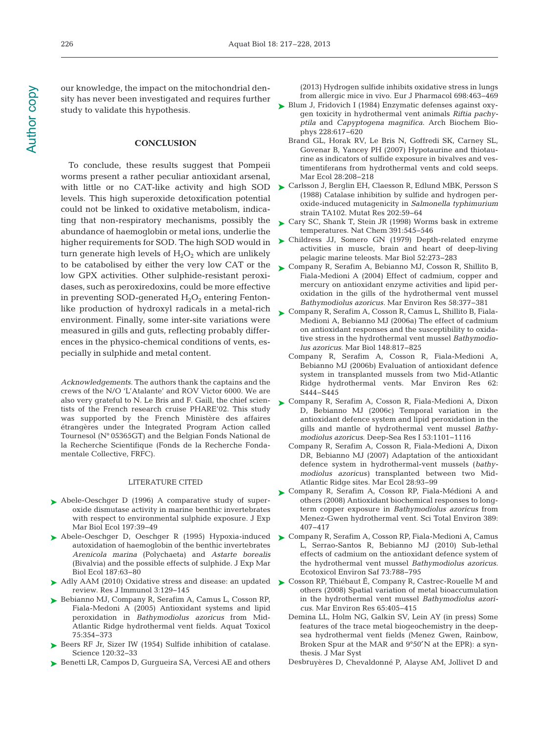our knowledge, the impact on the mitochondrial density has never been investigated and requires further study to validate this hypothesis.

## **CONCLUSION**

To conclude, these results suggest that Pompeii worms present a rather peculiar antioxidant arsenal, with little or no CAT-like activity and high SOD levels. This high superoxide detoxification potential could not be linked to oxidative metabolism, indicating that non-respiratory mechanisms, possibly the abundance of haemoglobin or metal ions, underlie the turn generate high levels of  $H_2O_2$  which are unlikely to be catabolised by either the very low CAT or the low GPX activities. Other sulphide-resistant peroxidases, such as peroxiredoxins, could be more effective in preventing SOD-generated  $H_2O_2$  entering Fentonlike production of hydroxyl radicals in a metal-rich environment. Finally, some inter-site variations were measured in gills and guts, reflecting probably differences in the physico-chemical conditions of vents, especially in sulphide and metal content.

*Acknowledgements*. The authors thank the captains and the crews of the N/O 'L'Atalante' and ROV Victor 6000. We are also very grateful to N. Le Bris and F. Gaill, the chief scientists of the French research cruise PHARE'02. This study was supported by the French Ministère des affaires étrangères under the Integrated Program Action called Tournesol (N° 05365GT) and the Belgian Fonds National de la Recherche Scientifique (Fonds de la Recherche Fondamentale Collective, FRFC).

#### LITERATURE CITED

- ▶ Abele-Oeschger D (1996) A comparative study of superoxide dismutase activity in marine benthic invertebrates with respect to environmental sulphide exposure. J Exp Mar Biol Ecol 197:39-49
- ► Abele-Oeschger D, Oeschger R (1995) Hypoxia-induced ► Company R, Serafim A, Cosson RP, Fiala-Medioni A, Camus autoxidation of haemoglobin of the benthic invertebrates *Arenicola marina* (Polychaeta) and *Astarte borealis* (Bivalvia) and the possible effects of sulphide. J Exp Mar Biol Ecol 187:63-80
- ▶ Adly AAM (2010) Oxidative stress and disease: an updated review. Res J Immunol 3: 129−145
- ► Bebianno MJ, Company R, Serafim A, Camus L, Cosson RP, Fiala-Medoni A (2005) Antioxidant systems and lipid peroxidation in *Bathymodiolus azoricus* from Mid-Atlantic Ridge hydrothermal vent fields. Aquat Toxicol 75: 354−373
- ▶ Beers RF Jr, Sizer IW (1954) Sulfide inhibition of catalase. Science 120:32-33
- ► Benetti LR, Campos D, Gurgueira SA, Vercesi AE and others

(2013) Hydrogen sulfide inhibits oxidative stress in lungs from allergic mice in vivo. Eur J Pharmacol 698: 463−469

- Blum J, Fridovich I (1984) Enzymatic defenses against oxy-➤ gen toxicity in hydrothermal vent animals *Riftia pachy ptila* and *Capyptogena magnifica*. Arch Biochem Biophys 228: 617−620
	- Brand GL, Horak RV, Le Bris N, Goffredi SK, Carney SL, Govenar B, Yancey PH (2007) Hypotaurine and thiotaurine as indicators of sulfide exposure in bivalves and vestimentiferans from hydrothermal vents and cold seeps. Mar Ecol 28:208-218
- ► Carlsson J, Berglin EH, Claesson R, Edlund MBK, Persson S (1988) Catalase inhibition by sulfide and hydrogen peroxide-induced mutagenicity in *Salmonella typhimurium* strain TA102. Mutat Res 202:59-64
- ► Cary SC, Shank T, Stein JR (1998) Worms bask in extreme temperatures. Nat Chem 391:545-546
- higher requirements for SOD. The high SOD would in  $\triangleright$  Childress JJ, Somero GN (1979) Depth-related enzyme activities in muscle, brain and heart of deep-living pelagic marine teleosts. Mar Biol 52: 273−283
	- ► Company R, Serafim A, Bebianno MJ, Cosson R, Shillito B, Fiala-Medioni A (2004) Effect of cadmium, copper and mercury on antioxidant enzyme activities and lipid peroxidation in the gills of the hydrothermal vent mussel *Bathymodiolus azoricus.* Mar Environ Res 58: 377−381
	- Company R, Serafim A, Cosson R, Camus L, Shillito B, Fiala-➤ Medioni A, Bebianno MJ (2006a) The effect of cadmium on antioxidant responses and the susceptibility to oxidative stress in the hydrothermal vent mussel *Bathymodiolus azoricus*. Mar Biol 148:817-825
		- Company R, Serafim A, Cosson R, Fiala-Medioni A, Bebianno MJ (2006b) Evaluation of antioxidant defence system in transplanted mussels from two Mid-Atlantic Ridge hydrothermal vents. Mar Environ Res 62: S444−S445
	- ► Company R, Serafim A, Cosson R, Fiala-Medioni A, Dixon D, Bebianno MJ (2006c) Temporal variation in the antioxidant defence system and lipid peroxidation in the gills and mantle of hydrothermal vent mussel *Bathymodiolus azoricus*. Deep-Sea Res I 53: 1101−1116
		- Company R, Serafim A, Cosson R, Fiala-Medioni A, Dixon DR, Bebianno MJ (2007) Adaptation of the antioxidant defence system in hydrothermal-vent mussels (*bathymodiolus azoricus)* transplanted between two Mid-Atlantic Ridge sites. Mar Ecol 28:93-99
	- ▶ Company R, Serafim A, Cosson RP, Fiala-Médioni A and others (2008) Antioxidant biochemical responses to longterm copper exposure in *Bathymodiolus azoricus* from Menez-Gwen hydrothermal vent. Sci Total Environ 389: 407−417
	- L, Serrao-Santos R, Bebianno MJ (2010) Sub-lethal effects of cadmium on the antioxidant defence system of the hydrothermal vent mussel *Bathymodiolus azoricus.* Ecotoxicol Environ Saf 73: 788−795
	- ► Cosson RP, Thiébaut E, Company R, Castrec-Rouelle M and others (2008) Spatial variation of metal bioaccumulation in the hydrothermal vent mussel *Bathymodiolus azoricus*. Mar Environ Res 65: 405−415
		- Demina LL, Holm NG, Galkin SV, Lein AY (in press) Some features of the trace metal biogeochemistry in the deepsea hydrothermal vent fields (Menez Gwen, Rainbow, Broken Spur at the MAR and 9°50'N at the EPR): a synthesis. J Mar Syst
		- Desbruyères D, Chevaldonné P, Alayse AM, Jollivet D and

226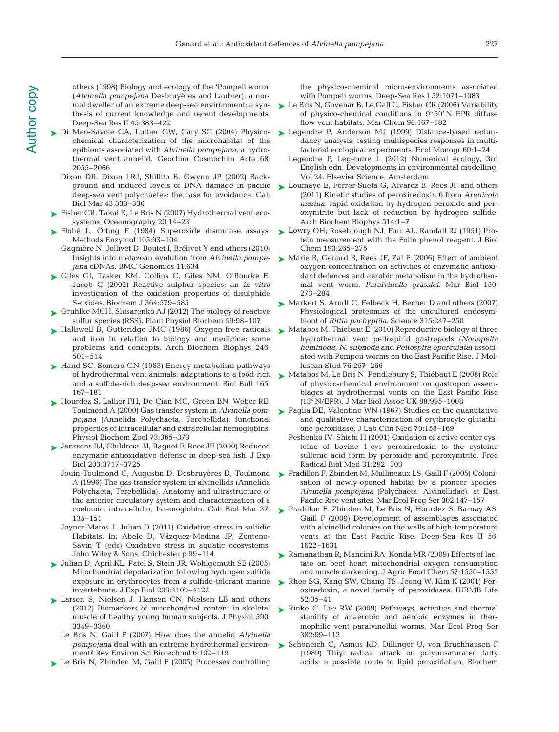others (1998) Biology and ecology of the 'Pompeii worm' (*Alvinella pompejana* Desbruyères and Laubier), a normal dweller of an extreme deep-sea environment:a synthesis of current knowledge and recent developments. Deep-Sea Res II 45:383-422

- ► Di Meo-Savoie CA, Luther GW, Cary SC (2004) Physicochemical characterization of the microhabitat of the epibionts associated with *Alvinella pompejana*, a hydrothermal vent annelid. Geochim Cosmochim Acta 68: 2055−2066
	- Dixon DR, Dixon LRJ, Shillito B, Gwynn JP (2002) Background and induced levels of DNA damage in pacific deep-sea vent polychaetes: the case for avoidance. Cah Biol Mar 43:333-336
- ► Fisher CR, Takai K, Le Bris N (2007) Hydrothermal vent ecosystems. Oceanography 20:14-23
- ► Flohé L, Otting F (1984) Superoxide dismutase assays. ► Lowry OH, Rosebrough NJ, Farr AL, Randall RJ (1951) Pro-Methods Enzymol 105:93-104
	- Gagnière N, Jollivet D, Boutet I, Brélivet Y and others (2010) Insights into metazoan evolution from *Alvinella pompejana* cDNAs. BMC Genomics 11:634
- ► Giles GI, Tasker KM, Collins C, Giles NM, O'Rourke E, Jacob C (2002) Reactive sulphur species:an *in vitro* investigation of the oxidation properties of disulphide S-oxides. Biochem J 364:579-585
- Gruhlke MCH, Slusarenko AJ (2012) The biology of reactive ➤ sulfur species (RSS). Plant Physiol Biochem 59:98−107
- ► Halliwell B, Gutteridge JMC (1986) Oxygen free radicals and iron in relation to biology and medicine: some problems and concepts. Arch Biochem Biophys 246: 501−514
- ► Hand SC, Somero GN (1983) Energy metabolism pathways of hydrothermal vent animals:adaptations to a food-rich and a sulfide-rich deep-sea environment. Biol Bull 165: 167−181
- ► Hourdez S, Lallier FH, De Cian MC, Green BN, Weber RE, Toulmond A (2000) Gas transfer system in *Alvinella pompejana* (Annelida Polychaeta, Terebellida): functional properties of intracellular and extracellular hemoglobins. Physiol Biochem Zool 73: 365−373
- Janssens BJ, Childress JJ, Baguet F, Rees JF (2000) Reduced ➤ enzymatic antioxidative defense in deep-sea fish. J Exp Biol 203: 3717−3725
	- Jouin-Toulmond C, Augustin D, Desbruyères D, Toulmond A (1996) The gas transfer system in alvinellids (Annelida Polychaeta, Terebellida). Anatomy and ultrastructure of the anterior circulatory system and characterization of a coelomic, intracellular, haemoglobin. Cah Biol Mar 37: 135−151
	- Joyner-Matos J, Julian D (2011) Oxidative stress in sulfidic Habitats. In: Abele D, Vázquez-Medina JP, Zenteno-Savín T (eds) Oxidative stress in aquatic ecosystems. John Wiley & Sons, Chichester p 99–114
- Julian D, April KL, Patel S, Stein JR, Wohlgemuth SE (2005) ➤ Mitochondrial depolarization following hydrogen sulfide exposure in erythrocytes from a sulfide-tolerant marine invertebrate. J Exp Biol 208: 4109−4122
- ► Larsen S, Nielsen J, Hansen CN, Nielsen LB and others (2012) Biomarkers of mitochondrial content in skeletal muscle of healthy young human subjects. J Physiol 590: 3349−3360
	- Le Bris N, Gaill F (2007) How does the annelid *Alvinella pompejana* deal with an extreme hydrothermal environment? Rev Environ Sci Biotechnol 6: 102−119
- ► Le Bris N, Zbinden M, Gaill F (2005) Processes controlling

the physico-chemical micro-environments associated with Pompeii worms. Deep-Sea Res I 52:1071-1083

- ► Le Bris N, Govenar B, Le Gall C, Fisher CR (2006) Variability of physico-chemical conditions in 9° 50' N EPR diffuse flow vent habitats. Mar Chem 98: 167−182
- Legendre P, Anderson MJ (1999) Distance-based redun-➤ dancy analysis: testing multispecies responses in multifactorial ecological experiments. Ecol Monogr 69: 1−24
	- Legendre P, Legendre L (2012) Numerical ecology, 3rd English edn. Developments in environmental modelling, Vol 24. Elsevier Science, Amsterdam
- ► Loumaye E, Ferrer-Sueta G, Alvarez B, Rees JF and others (2011) Kinetic studies of peroxiredoxin 6 from *Arenicola marina*: rapid oxidation by hydrogen peroxide and peroxynitrite but lack of reduction by hydrogen sulfide. Arch Biochem Biophys 514: 1−7
- tein measurement with the Folin phenol reagent. J Biol Chem 193: 265−275
- ► Marie B, Genard B, Rees JF, Zal F (2006) Effect of ambient oxygen concentration on activities of enzymatic antioxidant defences and aerobic metabolism in the hydrothermal vent worm, *Paralvinella grasslei.* Mar Biol 150: 273−284
- Markert S, Arndt C, Felbeck H, Becher D and others (2007) ➤ Physiological proteomics of the uncultured endosymbiont of *Riftia pachyptila.* Science 315: 247−250
- ► Matabos M, Thiebaut E (2010) Reproductive biology of three hydrothermal vent peltospirid gastropods (*Nodopelta heminoda, N. subnoda* and *Peltospira operculata*) associated with Pompeii worms on the East Pacific Rise. J Molluscan Stud 76:257-266
- ► Matabos M, Le Bris N, Pendlebury S, Thiébaut E (2008) Role of physico-chemical environment on gastropod assemblages at hydrothermal vents on the East Pacific Rise (13° N/EPR). J Mar Biol Assoc UK 88: 995−1008
- ► Paglia DE, Valentine WN (1967) Studies on the quantitative and qualitative characterization of erythrocyte glutathione peroxidase. J Lab Clin Med 70: 158−169
	- Peshenko IV, Shichi H (2001) Oxidation of active center cysteine of bovine 1-cys peroxiredoxin to the cysteine sulfenic acid form by peroxide and peroxynitrite. Free Radical Biol Med 31:292–303
- ▶ Pradillon F, Zbinden M, Mullineaux LS, Gaill F (2005) Colonisation of newly-opened habitat by a pioneer species, Alvinella pompejana (Polychaeta: Alvinellidae), at East Pacific Rise vent sites. Mar Ecol Prog Ser 302: 147−157
- ▶ Pradillon F, Zbinden M, Le Bris N, Hourdez S, Barnay AS, Gaill F (2009) Development of assemblages associated with alvinellid colonies on the walls of high-temperature vents at the East Pacific Rise. Deep-Sea Res II 56: 1622−1631
- ▶ Ramanathan R, Mancini RA, Konda MR (2009) Effects of lactate on beef heart mitochondrial oxygen consumption and muscle darkening. J Agric Food Chem 57: 1550−1555
- ▶ Rhee SG, Kang SW, Chang TS, Jeong W, Kim K (2001) Peroxiredoxin, a novel family of peroxidases. IUBMB Life 52: 35−41
- ► Rinke C, Lee RW (2009) Pathways, activities and thermal stability of anaerobic and aerobic enzymes in thermophilic vent paralvinellid worms. Mar Ecol Prog Ser 382: 99−112
- ▶ Schöneich C, Asmus KD, Dillinger U, von Bruchhausen F (1989) Thiyl radical attack on polyunsaturated fatty acids:a possible route to lipid peroxidation. Biochem